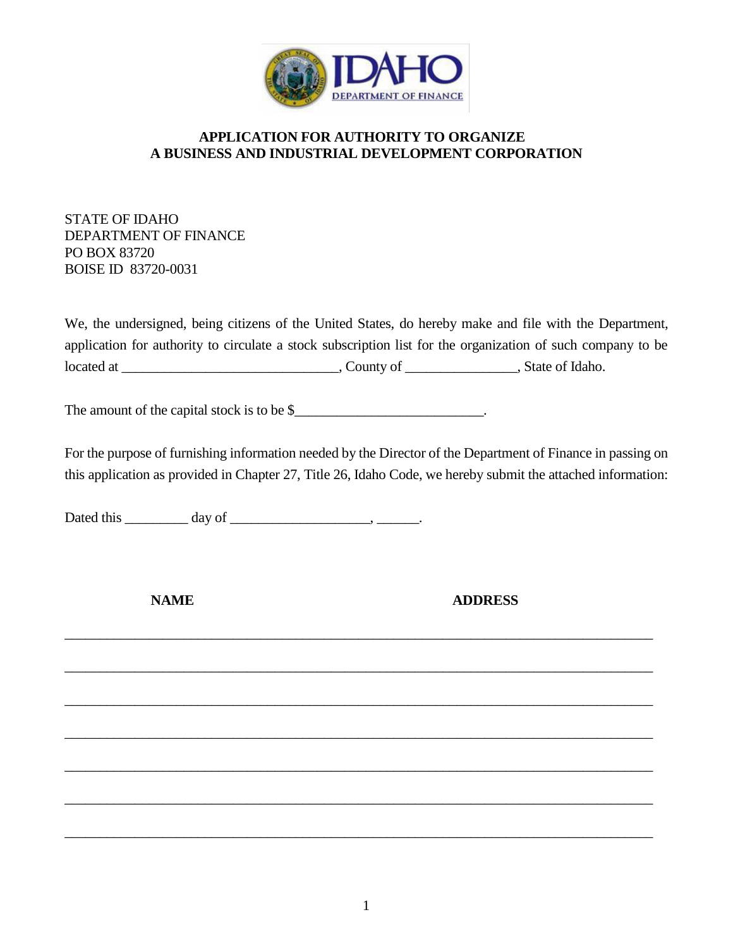

## **APPLICATION FOR AUTHORITY TO ORGANIZE A BUSINESS AND INDUSTRIAL DEVELOPMENT CORPORATION**

STATE OF IDAHO DEPARTMENT OF FINANCE PO BOX 83720 BOISE ID 83720-0031

We, the undersigned, being citizens of the United States, do hereby make and file with the Department, application for authority to circulate a stock subscription list for the organization of such company to be located at \_\_\_\_\_\_\_\_\_\_\_\_\_\_\_\_\_\_\_\_\_\_\_\_\_\_\_\_\_\_\_, County of \_\_\_\_\_\_\_\_\_\_\_\_\_\_\_\_, State of Idaho.

The amount of the capital stock is to be \$\_\_\_\_\_\_\_\_\_\_\_\_\_\_\_\_\_\_\_\_\_\_\_\_\_\_\_\_\_\_\_\_\_.

For the purpose of furnishing information needed by the Director of the Department of Finance in passing on this application as provided in Chapter 27, Title 26, Idaho Code, we hereby submit the attached information:

\_\_\_\_\_\_\_\_\_\_\_\_\_\_\_\_\_\_\_\_\_\_\_\_\_\_\_\_\_\_\_\_\_\_\_\_\_\_\_\_\_\_\_\_\_\_\_\_\_\_\_\_\_\_\_\_\_\_\_\_\_\_\_\_\_\_\_\_\_\_\_\_\_\_\_\_\_\_\_\_\_\_\_\_

\_\_\_\_\_\_\_\_\_\_\_\_\_\_\_\_\_\_\_\_\_\_\_\_\_\_\_\_\_\_\_\_\_\_\_\_\_\_\_\_\_\_\_\_\_\_\_\_\_\_\_\_\_\_\_\_\_\_\_\_\_\_\_\_\_\_\_\_\_\_\_\_\_\_\_\_\_\_\_\_\_\_\_\_

 $\_$  , and the set of the set of the set of the set of the set of the set of the set of the set of the set of the set of the set of the set of the set of the set of the set of the set of the set of the set of the set of th

\_\_\_\_\_\_\_\_\_\_\_\_\_\_\_\_\_\_\_\_\_\_\_\_\_\_\_\_\_\_\_\_\_\_\_\_\_\_\_\_\_\_\_\_\_\_\_\_\_\_\_\_\_\_\_\_\_\_\_\_\_\_\_\_\_\_\_\_\_\_\_\_\_\_\_\_\_\_\_\_\_\_\_\_

\_\_\_\_\_\_\_\_\_\_\_\_\_\_\_\_\_\_\_\_\_\_\_\_\_\_\_\_\_\_\_\_\_\_\_\_\_\_\_\_\_\_\_\_\_\_\_\_\_\_\_\_\_\_\_\_\_\_\_\_\_\_\_\_\_\_\_\_\_\_\_\_\_\_\_\_\_\_\_\_\_\_\_\_

\_\_\_\_\_\_\_\_\_\_\_\_\_\_\_\_\_\_\_\_\_\_\_\_\_\_\_\_\_\_\_\_\_\_\_\_\_\_\_\_\_\_\_\_\_\_\_\_\_\_\_\_\_\_\_\_\_\_\_\_\_\_\_\_\_\_\_\_\_\_\_\_\_\_\_\_\_\_\_\_\_\_\_\_

\_\_\_\_\_\_\_\_\_\_\_\_\_\_\_\_\_\_\_\_\_\_\_\_\_\_\_\_\_\_\_\_\_\_\_\_\_\_\_\_\_\_\_\_\_\_\_\_\_\_\_\_\_\_\_\_\_\_\_\_\_\_\_\_\_\_\_\_\_\_\_\_\_\_\_\_\_\_\_\_\_\_\_\_

Dated this \_\_\_\_\_\_\_\_\_ day of \_\_\_\_\_\_\_\_\_\_\_\_\_\_\_\_\_\_\_\_, \_\_\_\_\_\_.

**NAME ADDRESS**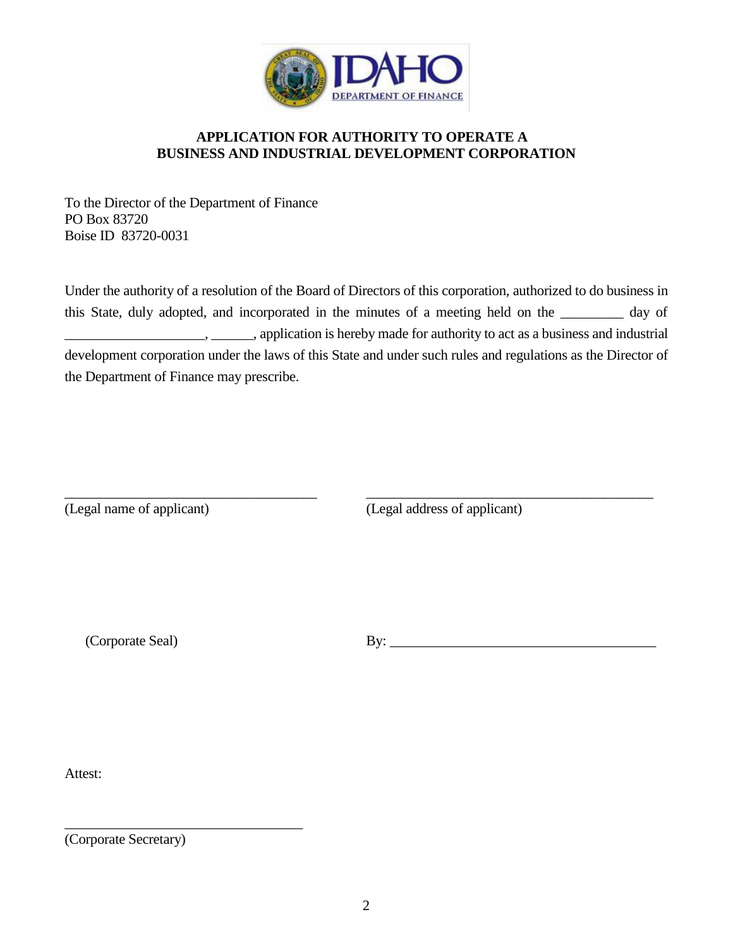

## **APPLICATION FOR AUTHORITY TO OPERATE A BUSINESS AND INDUSTRIAL DEVELOPMENT CORPORATION**

To the Director of the Department of Finance PO Box 83720 Boise ID 83720-0031

Under the authority of a resolution of the Board of Directors of this corporation, authorized to do business in this State, duly adopted, and incorporated in the minutes of a meeting held on the \_\_\_\_\_\_\_\_\_ day of  $\ldots$ , \_\_\_\_\_\_\_, application is hereby made for authority to act as a business and industrial development corporation under the laws of this State and under such rules and regulations as the Director of the Department of Finance may prescribe.

\_\_\_\_\_\_\_\_\_\_\_\_\_\_\_\_\_\_\_\_\_\_\_\_\_\_\_\_\_\_\_\_\_\_\_\_ \_\_\_\_\_\_\_\_\_\_\_\_\_\_\_\_\_\_\_\_\_\_\_\_\_\_\_\_\_\_\_\_\_\_\_\_\_\_\_\_\_

(Legal name of applicant) (Legal address of applicant)

(Corporate Seal) By:

Attest:

(Corporate Secretary)

\_\_\_\_\_\_\_\_\_\_\_\_\_\_\_\_\_\_\_\_\_\_\_\_\_\_\_\_\_\_\_\_\_\_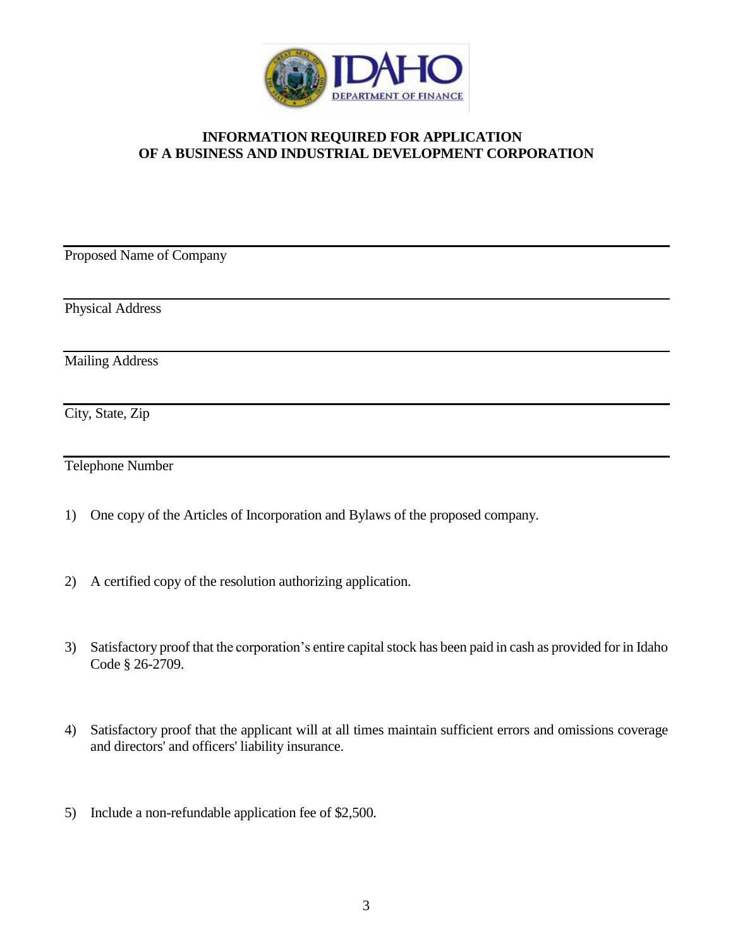

## **INFORMATION REQUIRED FOR APPLICATION OF A BUSINESS AND INDUSTRIAL DEVELOPMENT CORPORATION**

Proposed Name of Company

Physical Address

Mailing Address

City, State, Zip

Telephone Number

- 1) One copy of the Articles of Incorporation and Bylaws of the proposed company.
- 2) A certified copy of the resolution authorizing application.
- 3) Satisfactory proof that the corporation's entire capital stock has been paid in cash as provided for in Idaho Code § 26-2709.
- 4) Satisfactory proof that the applicant will at all times maintain sufficient errors and omissions coverage and directors' and officers' liability insurance.
- 5) Include a non-refundable application fee of \$2,500.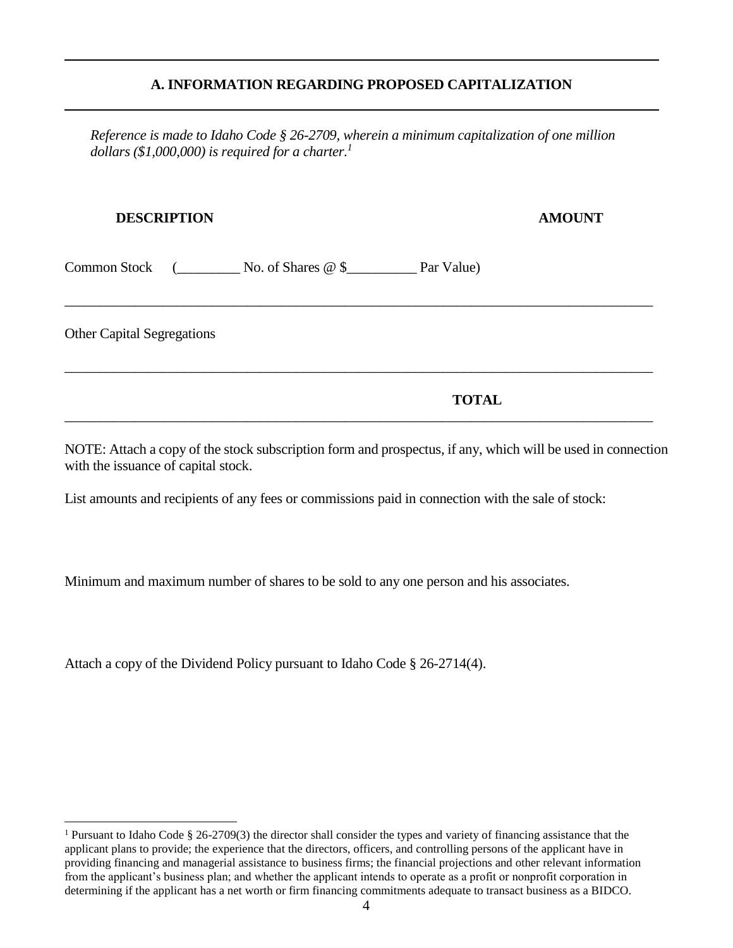## **A. INFORMATION REGARDING PROPOSED CAPITALIZATION**

*Reference is made to Idaho Code § 26-2709, wherein a minimum capitalization of one million dollars (\$1,000,000) is required for a charter.<sup>1</sup>* 

\_\_\_\_\_\_\_\_\_\_\_\_\_\_\_\_\_\_\_\_\_\_\_\_\_\_\_\_\_\_\_\_\_\_\_\_\_\_\_\_\_\_\_\_\_\_\_\_\_\_\_\_\_\_\_\_\_\_\_\_\_\_\_\_\_\_\_\_\_\_\_\_\_\_\_\_\_\_\_\_\_\_\_\_

\_\_\_\_\_\_\_\_\_\_\_\_\_\_\_\_\_\_\_\_\_\_\_\_\_\_\_\_\_\_\_\_\_\_\_\_\_\_\_\_\_\_\_\_\_\_\_\_\_\_\_\_\_\_\_\_\_\_\_\_\_\_\_\_\_\_\_\_\_\_\_\_\_\_\_\_\_\_\_\_\_\_\_\_

\_\_\_\_\_\_\_\_\_\_\_\_\_\_\_\_\_\_\_\_\_\_\_\_\_\_\_\_\_\_\_\_\_\_\_\_\_\_\_\_\_\_\_\_\_\_\_\_\_\_\_\_\_\_\_\_\_\_\_\_\_\_\_\_\_\_\_\_\_\_\_\_\_\_\_\_\_\_\_\_\_\_\_\_

## **DESCRIPTION AMOUNT**

Common Stock (\_\_\_\_\_\_\_\_\_ No. of Shares @ \$\_\_\_\_\_\_\_\_\_\_ Par Value)

Other Capital Segregations

ı.

**TOTAL**

NOTE: Attach a copy of the stock subscription form and prospectus, if any, which will be used in connection with the issuance of capital stock.

List amounts and recipients of any fees or commissions paid in connection with the sale of stock:

Minimum and maximum number of shares to be sold to any one person and his associates.

Attach a copy of the Dividend Policy pursuant to Idaho Code § 26-2714(4).

<sup>1</sup> Pursuant to Idaho Code § 26-2709(3) the director shall consider the types and variety of financing assistance that the applicant plans to provide; the experience that the directors, officers, and controlling persons of the applicant have in providing financing and managerial assistance to business firms; the financial projections and other relevant information from the applicant's business plan; and whether the applicant intends to operate as a profit or nonprofit corporation in determining if the applicant has a net worth or firm financing commitments adequate to transact business as a BIDCO.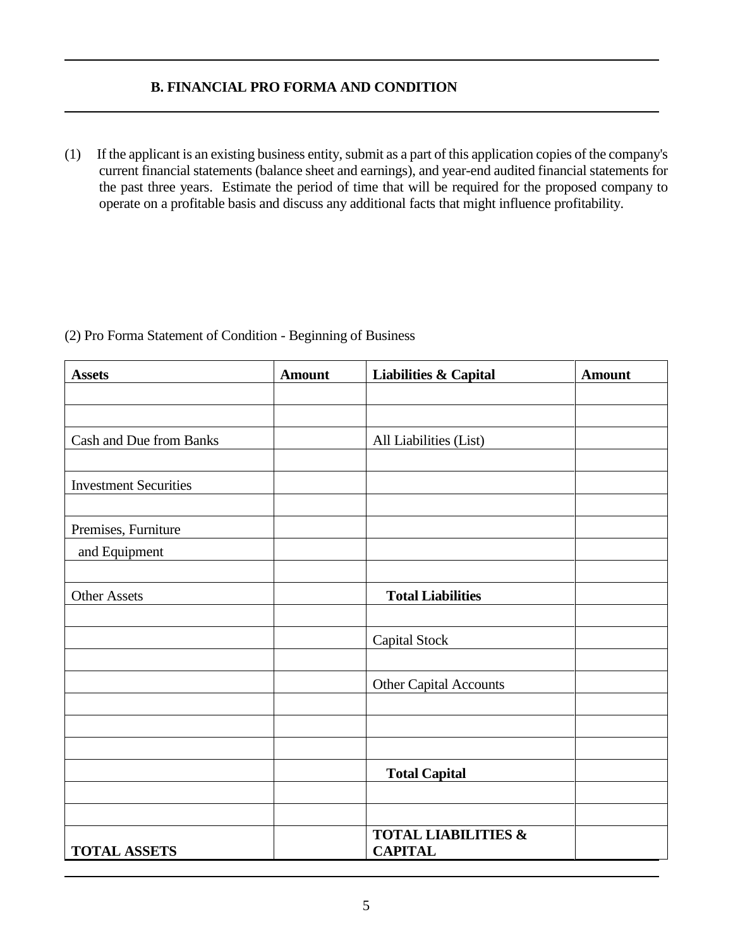## **B. FINANCIAL PRO FORMA AND CONDITION**

(1) If the applicant is an existing business entity, submit as a part of this application copies of the company's current financial statements (balance sheet and earnings), and year-end audited financial statements for the past three years. Estimate the period of time that will be required for the proposed company to operate on a profitable basis and discuss any additional facts that might influence profitability.

| <b>Assets</b>                | <b>Amount</b> | <b>Liabilities &amp; Capital</b>                 | <b>Amount</b> |
|------------------------------|---------------|--------------------------------------------------|---------------|
|                              |               |                                                  |               |
|                              |               |                                                  |               |
| Cash and Due from Banks      |               | All Liabilities (List)                           |               |
|                              |               |                                                  |               |
| <b>Investment Securities</b> |               |                                                  |               |
|                              |               |                                                  |               |
| Premises, Furniture          |               |                                                  |               |
| and Equipment                |               |                                                  |               |
|                              |               |                                                  |               |
| <b>Other Assets</b>          |               | <b>Total Liabilities</b>                         |               |
|                              |               |                                                  |               |
|                              |               | <b>Capital Stock</b>                             |               |
|                              |               |                                                  |               |
|                              |               | Other Capital Accounts                           |               |
|                              |               |                                                  |               |
|                              |               |                                                  |               |
|                              |               |                                                  |               |
|                              |               | <b>Total Capital</b>                             |               |
|                              |               |                                                  |               |
|                              |               |                                                  |               |
| <b>TOTAL ASSETS</b>          |               | <b>TOTAL LIABILITIES &amp;</b><br><b>CAPITAL</b> |               |

## (2) Pro Forma Statement of Condition - Beginning of Business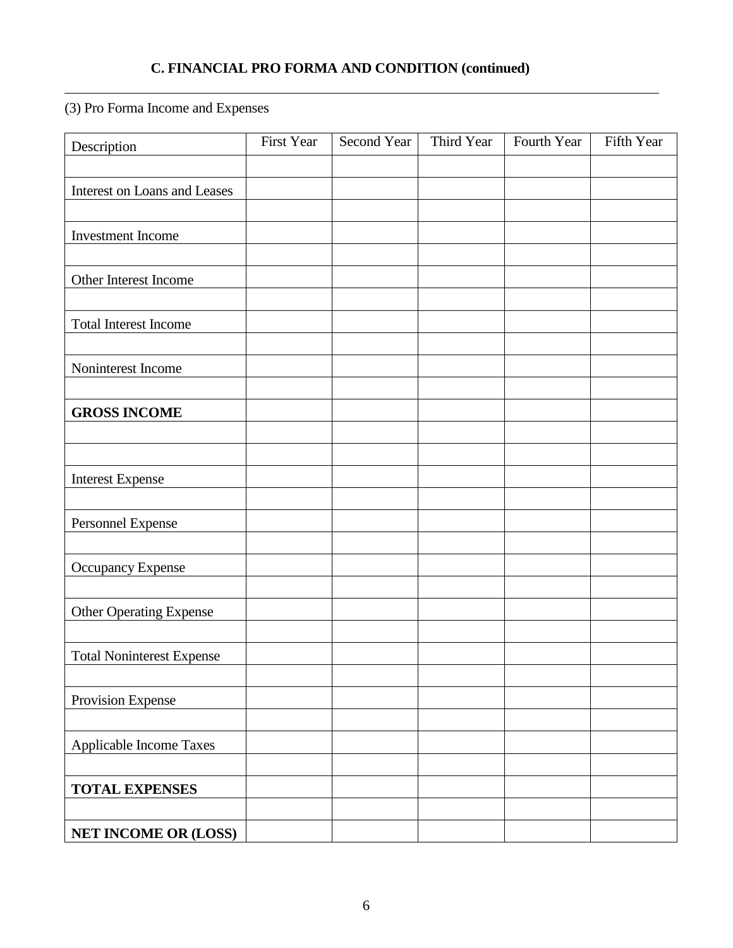## **C. FINANCIAL PRO FORMA AND CONDITION (continued)**

(3) Pro Forma Income and Expenses

| Description                      | First Year | Second Year | Third Year | Fourth Year | Fifth Year |
|----------------------------------|------------|-------------|------------|-------------|------------|
|                                  |            |             |            |             |            |
| Interest on Loans and Leases     |            |             |            |             |            |
|                                  |            |             |            |             |            |
| Investment Income                |            |             |            |             |            |
|                                  |            |             |            |             |            |
| Other Interest Income            |            |             |            |             |            |
|                                  |            |             |            |             |            |
| <b>Total Interest Income</b>     |            |             |            |             |            |
|                                  |            |             |            |             |            |
| Noninterest Income               |            |             |            |             |            |
|                                  |            |             |            |             |            |
| <b>GROSS INCOME</b>              |            |             |            |             |            |
|                                  |            |             |            |             |            |
|                                  |            |             |            |             |            |
| <b>Interest Expense</b>          |            |             |            |             |            |
|                                  |            |             |            |             |            |
| Personnel Expense                |            |             |            |             |            |
|                                  |            |             |            |             |            |
| Occupancy Expense                |            |             |            |             |            |
|                                  |            |             |            |             |            |
| <b>Other Operating Expense</b>   |            |             |            |             |            |
|                                  |            |             |            |             |            |
| <b>Total Noninterest Expense</b> |            |             |            |             |            |
|                                  |            |             |            |             |            |
| Provision Expense                |            |             |            |             |            |
|                                  |            |             |            |             |            |
| Applicable Income Taxes          |            |             |            |             |            |
|                                  |            |             |            |             |            |
| <b>TOTAL EXPENSES</b>            |            |             |            |             |            |
| NET INCOME OR (LOSS)             |            |             |            |             |            |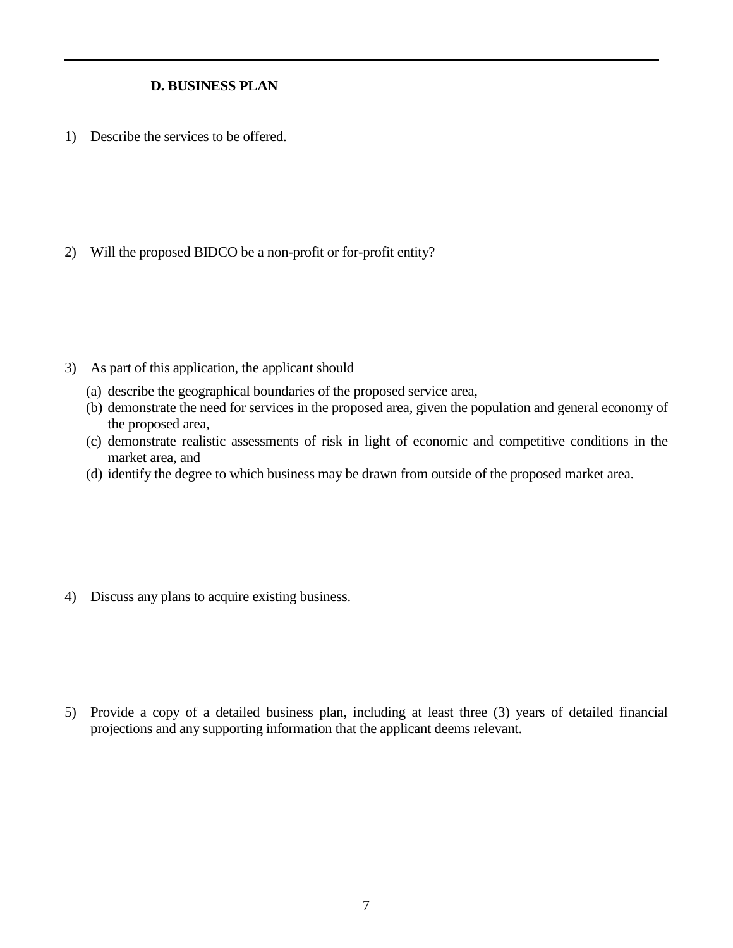## **D. BUSINESS PLAN**

1) Describe the services to be offered.

2) Will the proposed BIDCO be a non-profit or for-profit entity?

- 3) As part of this application, the applicant should
	- (a) describe the geographical boundaries of the proposed service area,
	- (b) demonstrate the need for services in the proposed area, given the population and general economy of the proposed area,
	- (c) demonstrate realistic assessments of risk in light of economic and competitive conditions in the market area, and
	- (d) identify the degree to which business may be drawn from outside of the proposed market area.

4) Discuss any plans to acquire existing business.

5) Provide a copy of a detailed business plan, including at least three (3) years of detailed financial projections and any supporting information that the applicant deems relevant.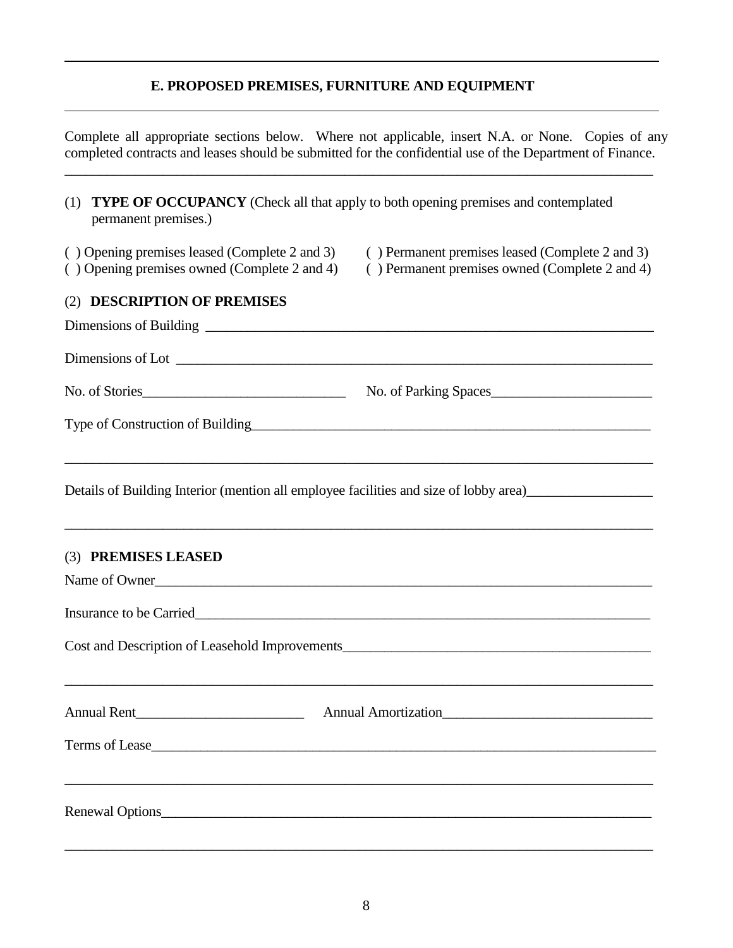## **E. PROPOSED PREMISES, FURNITURE AND EQUIPMENT**

Complete all appropriate sections below. Where not applicable, insert N.A. or None. Copies of any completed contracts and leases should be submitted for the confidential use of the Department of Finance.

\_\_\_\_\_\_\_\_\_\_\_\_\_\_\_\_\_\_\_\_\_\_\_\_\_\_\_\_\_\_\_\_\_\_\_\_\_\_\_\_\_\_\_\_\_\_\_\_\_\_\_\_\_\_\_\_\_\_\_\_\_\_\_\_\_\_\_\_\_\_\_\_\_\_\_\_\_\_\_\_\_\_\_\_

| <b>TYPE OF OCCUPANCY</b> (Check all that apply to both opening premises and contemplated<br>(1)<br>permanent premises.) |                                                                                                   |
|-------------------------------------------------------------------------------------------------------------------------|---------------------------------------------------------------------------------------------------|
| (b) Opening premises leased (Complete 2 and 3)<br>() Opening premises owned (Complete 2 and 4)                          | () Permanent premises leased (Complete 2 and 3)<br>() Permanent premises owned (Complete 2 and 4) |
| <b>DESCRIPTION OF PREMISES</b><br>(2)                                                                                   |                                                                                                   |
|                                                                                                                         |                                                                                                   |
|                                                                                                                         |                                                                                                   |
| No. of Stories                                                                                                          |                                                                                                   |
| Type of Construction of Building<br><u>Leadenborne and the construction</u>                                             |                                                                                                   |
| Details of Building Interior (mention all employee facilities and size of lobby area)                                   |                                                                                                   |
| (3) PREMISES LEASED                                                                                                     |                                                                                                   |
| Name of Owner                                                                                                           |                                                                                                   |
|                                                                                                                         |                                                                                                   |
| Cost and Description of Leasehold Improvements___________________________________                                       |                                                                                                   |
|                                                                                                                         | Annual Amortization                                                                               |
| Terms of Lease                                                                                                          |                                                                                                   |
|                                                                                                                         |                                                                                                   |
| Renewal Options                                                                                                         |                                                                                                   |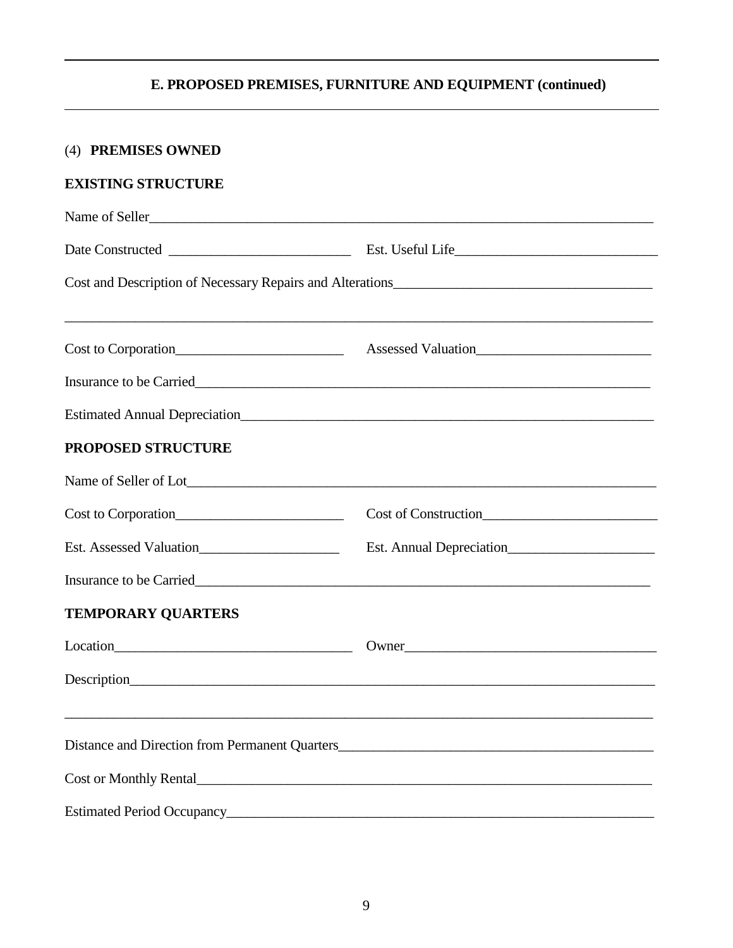## **E. PROPOSED PREMISES, FURNITURE AND EQUIPMENT (continued)**

| (4) PREMISES OWNED        |                                                                                   |
|---------------------------|-----------------------------------------------------------------------------------|
| <b>EXISTING STRUCTURE</b> |                                                                                   |
| Name of Seller            |                                                                                   |
|                           |                                                                                   |
|                           |                                                                                   |
| Cost to Corporation       | <u> 1989 - Johann Stoff, amerikansk politiker (d. 1989)</u>                       |
|                           |                                                                                   |
|                           |                                                                                   |
| <b>PROPOSED STRUCTURE</b> |                                                                                   |
|                           |                                                                                   |
| Cost to Corporation       |                                                                                   |
| Est. Assessed Valuation   | Est. Annual Depreciation                                                          |
|                           |                                                                                   |
| <b>TEMPORARY QUARTERS</b> |                                                                                   |
|                           | Owner                                                                             |
|                           |                                                                                   |
|                           | ,我们也不能在这里的人,我们也不能在这里的人,我们也不能在这里的人,我们也不能在这里的人,我们也不能在这里的人,我们也不能在这里的人,我们也不能在这里的人,我们也 |
|                           |                                                                                   |
|                           |                                                                                   |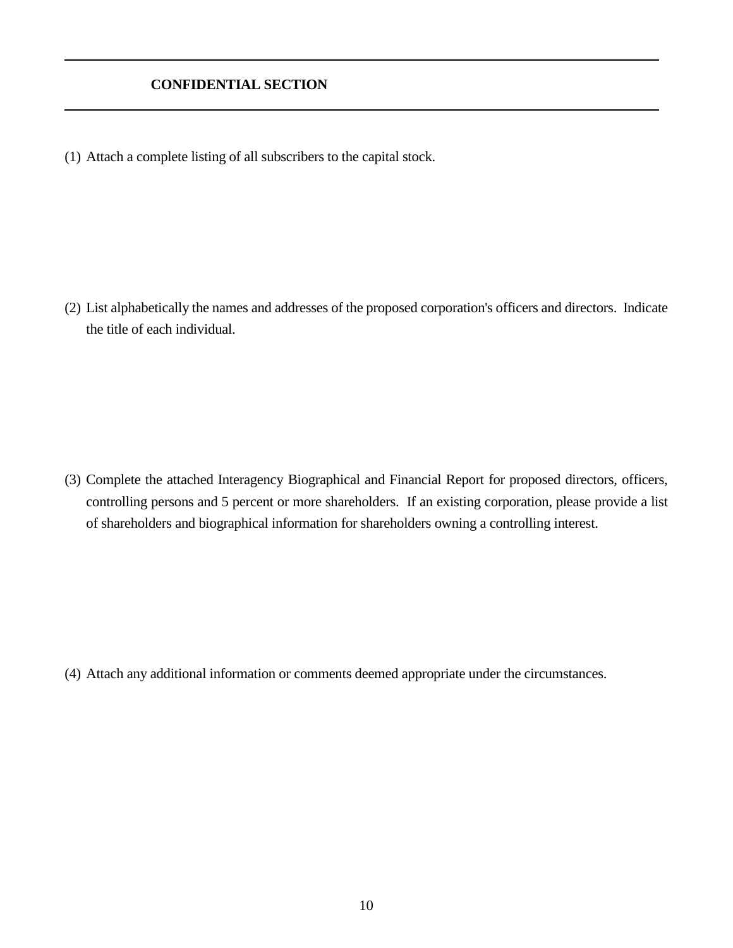## **CONFIDENTIAL SECTION**

(1) Attach a complete listing of all subscribers to the capital stock.

(2) List alphabetically the names and addresses of the proposed corporation's officers and directors. Indicate the title of each individual.

(3) Complete the attached Interagency Biographical and Financial Report for proposed directors, officers, controlling persons and 5 percent or more shareholders. If an existing corporation, please provide a list of shareholders and biographical information for shareholders owning a controlling interest.

(4) Attach any additional information or comments deemed appropriate under the circumstances.